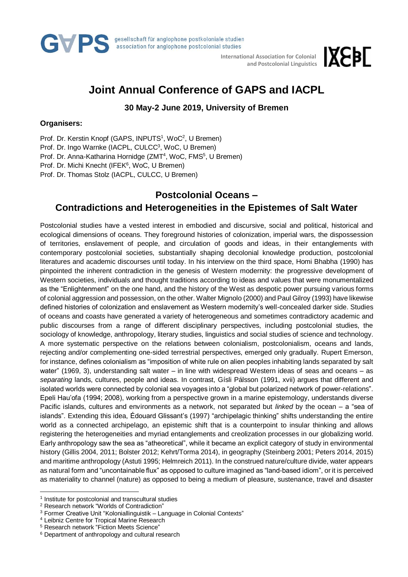

 **International Association for Colonial and Postcolonial Linguistics**

# **IXEPL**

## **Joint Annual Conference of GAPS and IACPL**

**30 May-2 June 2019, University of Bremen**

#### **Organisers:**

Prof. Dr. Kerstin Knopf (GAPS, INPUTS<sup>1</sup>, WoC<sup>2</sup>, U Bremen)

Prof. Dr. Ingo Warnke (IACPL, CULCC<sup>3</sup>, WoC, U Bremen)

Prof. Dr. Anna-Katharina Hornidge (ZMT<sup>4</sup>, WoC, FMS<sup>5</sup>, U Bremen)

Prof. Dr. Michi Knecht (IFEK<sup>6</sup>, WoC, U Bremen)

Prof. Dr. Thomas Stolz (IACPL, CULCC, U Bremen)

### **Postcolonial Oceans –**

## **Contradictions and Heterogeneities in the Epistemes of Salt Water**

Postcolonial studies have a vested interest in embodied and discursive, social and political, historical and ecological dimensions of oceans. They foreground histories of colonization, imperial wars, the dispossession of territories, enslavement of people, and circulation of goods and ideas, in their entanglements with contemporary postcolonial societies, substantially shaping decolonial knowledge production, postcolonial literatures and academic discourses until today. In his interview on the third space, Homi Bhabha (1990) has pinpointed the inherent contradiction in the genesis of Western modernity: the progressive development of Western societies, individuals and thought traditions according to ideas and values that were monumentalized as the "Enlightenment" on the one hand, and the history of the West as despotic power pursuing various forms of colonial aggression and possession, on the other. Walter Mignolo (2000) and Paul Gilroy (1993) have likewise defined histories of colonization and enslavement as Western modernity's well-concealed darker side. Studies of oceans and coasts have generated a variety of heterogeneous and sometimes contradictory academic and public discourses from a range of different disciplinary perspectives, including postcolonial studies, the sociology of knowledge, anthropology, literary studies, linguistics and social studies of science and technology. A more systematic perspective on the relations between colonialism, postcolonialism, oceans and lands, rejecting and/or complementing one-sided terrestrial perspectives, emerged only gradually. Rupert Emerson, for instance, defines colonialism as "imposition of white rule on alien peoples inhabiting lands separated by salt water" (1969, 3), understanding salt water – in line with widespread Western ideas of seas and oceans – as *separating* lands, cultures, people and ideas. In contrast, Gísli Pálsson (1991, xvii) argues that different and isolated worlds were connected by colonial sea voyages into a "global but polarized network of power-relations". Epeli Hau'ofa (1994; 2008), working from a perspective grown in a marine epistemology, understands diverse Pacific islands, cultures and environments as a network, not separated but *linked* by the ocean – a "sea of islands". Extending this idea, Édouard Glissant's (1997) "archipelagic thinking" shifts understanding the entire world as a connected archipelago, an epistemic shift that is a counterpoint to insular thinking and allows registering the heterogeneities and myriad entanglements and creolization processes in our globalizing world. Early anthropology saw the sea as "atheoretical", while it became an explicit category of study in environmental history (Gillis 2004, 2011; Bolster 2012; Kehrt/Torma 2014), in geography (Steinberg 2001; Peters 2014, 2015) and maritime anthropology (Astuti 1995; Helmreich 2011). In the construed nature/culture divide, water appears as natural form and "uncontainable flux" as opposed to culture imagined as "land-based idiom", or it is perceived as materiality to channel (nature) as opposed to being a medium of pleasure, sustenance, travel and disaster

 $\overline{a}$ 

<sup>&</sup>lt;sup>1</sup> Institute for postcolonial and transcultural studies

<sup>2</sup> Research network "Worlds of Contradiction"

<sup>&</sup>lt;sup>3</sup> Former Creative Unit "Koloniallinguistik – Language in Colonial Contexts"

<sup>4</sup> Leibniz Centre for Tropical Marine Research

<sup>5</sup> Research network "Fiction Meets Science"

<sup>&</sup>lt;sup>6</sup> Department of anthropology and cultural research